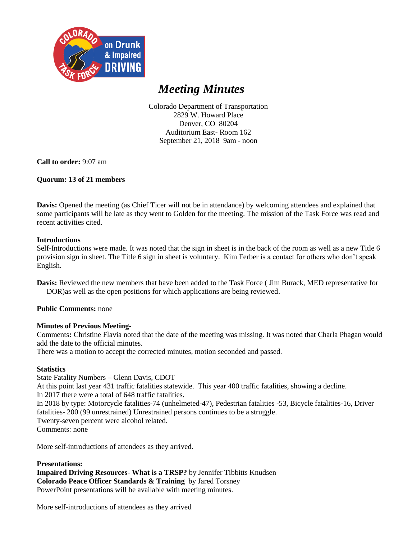

# *Meeting Minutes*

Colorado Department of Transportation 2829 W. Howard Place Denver, CO 80204 Auditorium East- Room 162 September 21, 2018 9am - noon

**Call to order:** 9:07 am

## **Quorum: 13 of 21 members**

**Davis:** Opened the meeting (as Chief Ticer will not be in attendance) by welcoming attendees and explained that some participants will be late as they went to Golden for the meeting. The mission of the Task Force was read and recent activities cited.

## **Introductions**

Self-Introductions were made. It was noted that the sign in sheet is in the back of the room as well as a new Title 6 provision sign in sheet. The Title 6 sign in sheet is voluntary. Kim Ferber is a contact for others who don't speak English.

**Davis:** Reviewed the new members that have been added to the Task Force ( Jim Burack, MED representative for DOR)as well as the open positions for which applications are being reviewed.

## **Public Comments:** none

## **Minutes of Previous Meeting-**

Comments**:** Christine Flavia noted that the date of the meeting was missing. It was noted that Charla Phagan would add the date to the official minutes.

There was a motion to accept the corrected minutes, motion seconded and passed.

## **Statistics**

State Fatality Numbers – Glenn Davis, CDOT

At this point last year 431 traffic fatalities statewide. This year 400 traffic fatalities, showing a decline.

In 2017 there were a total of 648 traffic fatalities.

In 2018 by type: Motorcycle fatalities-74 (unhelmeted-47), Pedestrian fatalities -53, Bicycle fatalities-16, Driver fatalities- 200 (99 unrestrained) Unrestrained persons continues to be a struggle.

Twenty-seven percent were alcohol related.

Comments: none

More self-introductions of attendees as they arrived.

## **Presentations:**

**Impaired Driving Resources- What is a TRSP?** by Jennifer Tibbitts Knudsen **Colorado Peace Officer Standards & Training** by Jared Torsney PowerPoint presentations will be available with meeting minutes.

More self-introductions of attendees as they arrived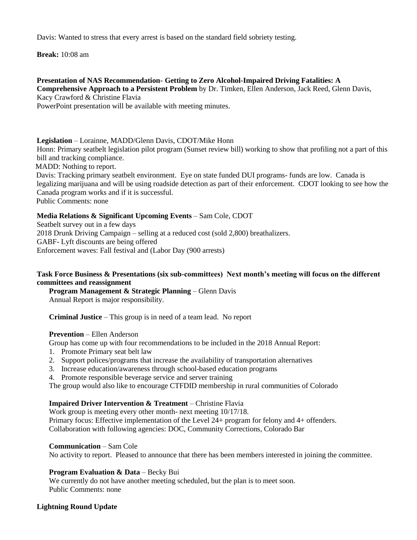Davis: Wanted to stress that every arrest is based on the standard field sobriety testing.

**Break:** 10:08 am

## **Presentation of NAS Recommendation- Getting to Zero Alcohol-Impaired Driving Fatalities: A**

**Comprehensive Approach to a Persistent Problem** by Dr. Timken, Ellen Anderson, Jack Reed, Glenn Davis, Kacy Crawford & Christine Flavia

PowerPoint presentation will be available with meeting minutes.

**Legislation** – Lorainne, MADD/Glenn Davis, CDOT/Mike Honn

Honn: Primary seatbelt legislation pilot program (Sunset review bill) working to show that profiling not a part of this bill and tracking compliance.

MADD: Nothing to report.

 Davis: Tracking primary seatbelt environment. Eye on state funded DUI programs- funds are low. Canada is legalizing marijuana and will be using roadside detection as part of their enforcement. CDOT looking to see how the Canada program works and if it is successful.

Public Comments: none

## **Media Relations & Significant Upcoming Events** – Sam Cole, CDOT

Seatbelt survey out in a few days 2018 Drunk Driving Campaign – selling at a reduced cost (sold 2,800) breathalizers. GABF- Lyft discounts are being offered Enforcement waves: Fall festival and (Labor Day (900 arrests)

## **Task Force Business & Presentations (six sub-committees) Next month's meeting will focus on the different committees and reassignment**

**Program Management & Strategic Planning** – Glenn Davis Annual Report is major responsibility.

**Criminal Justice** – This group is in need of a team lead. No report

## **Prevention** – Ellen Anderson

Group has come up with four recommendations to be included in the 2018 Annual Report:

- 1. Promote Primary seat belt law
- 2. Support polices/programs that increase the availability of transportation alternatives
- 3. Increase education/awareness through school-based education programs
- 4. Promote responsible beverage service and server training

The group would also like to encourage CTFDID membership in rural communities of Colorado

## **Impaired Driver Intervention & Treatment** – Christine Flavia

Work group is meeting every other month- next meeting 10/17/18. Primary focus: Effective implementation of the Level 24+ program for felony and 4+ offenders. Collaboration with following agencies: DOC, Community Corrections, Colorado Bar

## **Communication** – Sam Cole

No activity to report. Pleased to announce that there has been members interested in joining the committee.

## **Program Evaluation & Data** – Becky Bui

We currently do not have another meeting scheduled, but the plan is to meet soon. Public Comments: none

## **Lightning Round Update**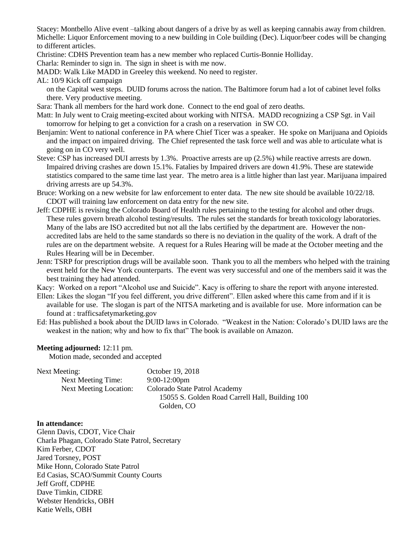Stacey: Montbello Alive event –talking about dangers of a drive by as well as keeping cannabis away from children. Michelle: Liquor Enforcement moving to a new building in Cole building (Dec). Liquor/beer codes will be changing to different articles.

Christine: CDHS Prevention team has a new member who replaced Curtis-Bonnie Holliday.

Charla: Reminder to sign in. The sign in sheet is with me now.

MADD: Walk Like MADD in Greeley this weekend. No need to register.

AL: 10/9 Kick off campaign

on the Capital west steps. DUID forums across the nation. The Baltimore forum had a lot of cabinet level folks there. Very productive meeting.

Sara: Thank all members for the hard work done. Connect to the end goal of zero deaths.

- Matt: In July went to Craig meeting-excited about working with NITSA. MADD recognizing a CSP Sgt. in Vail tomorrow for helping to get a conviction for a crash on a reservation in SW CO.
- Benjamin: Went to national conference in PA where Chief Ticer was a speaker. He spoke on Marijuana and Opioids and the impact on impaired driving. The Chief represented the task force well and was able to articulate what is going on in CO very well.
- Steve: CSP has increased DUI arrests by 1.3%. Proactive arrests are up (2.5%) while reactive arrests are down. Impaired driving crashes are down 15.1%. Fatalies by Impaired drivers are down 41.9%. These are statewide statistics compared to the same time last year. The metro area is a little higher than last year. Marijuana impaired driving arrests are up 54.3%.
- Bruce: Working on a new website for law enforcement to enter data. The new site should be available 10/22/18. CDOT will training law enforcement on data entry for the new site.
- Jeff: CDPHE is revising the Colorado Board of Health rules pertaining to the testing for alcohol and other drugs. These rules govern breath alcohol testing/results. The rules set the standards for breath toxicology laboratories. Many of the labs are ISO accredited but not all the labs certified by the department are. However the nonaccredited labs are held to the same standards so there is no deviation in the quality of the work. A draft of the rules are on the department website. A request for a Rules Hearing will be made at the October meeting and the Rules Hearing will be in December.
- Jenn: TSRP for prescription drugs will be available soon. Thank you to all the members who helped with the training event held for the New York counterparts. The event was very successful and one of the members said it was the best training they had attended.

Kacy: Worked on a report "Alcohol use and Suicide". Kacy is offering to share the report with anyone interested.

- Ellen: Likes the slogan "If you feel different, you drive different". Ellen asked where this came from and if it is available for use. The slogan is part of the NITSA marketing and is available for use. More information can be found at : trafficsafetymarketing.gov
- Ed: Has published a book about the DUID laws in Colorado. "Weakest in the Nation: Colorado's DUID laws are the weakest in the nation; why and how to fix that" The book is available on Amazon.

#### **Meeting adjourned:** 12:11 pm.

Motion made, seconded and accepted

| Next Meeting:                 | October 19, 2018                                |
|-------------------------------|-------------------------------------------------|
| Next Meeting Time:            | $9:00-12:00$ pm                                 |
| <b>Next Meeting Location:</b> | Colorado State Patrol Academy                   |
|                               | 15055 S. Golden Road Carrell Hall, Building 100 |
|                               | Golden, CO                                      |

## **In attendance:**

Glenn Davis, CDOT, Vice Chair Charla Phagan, Colorado State Patrol, Secretary Kim Ferber, CDOT Jared Torsney, POST Mike Honn, Colorado State Patrol Ed Casias, SCAO/Summit County Courts Jeff Groff, CDPHE Dave Timkin, CIDRE Webster Hendricks, OBH Katie Wells, OBH